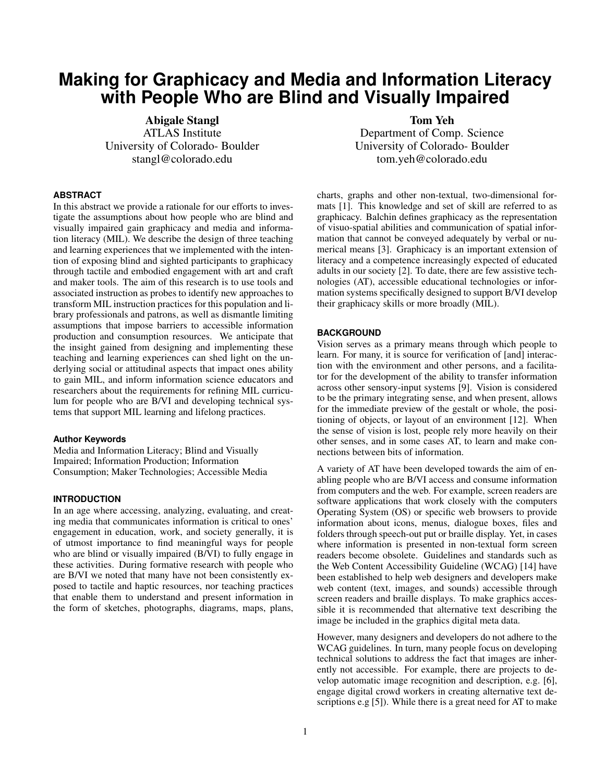# **Making for Graphicacy and Media and Information Literacy with People Who are Blind and Visually Impaired**

Abigale Stangl ATLAS Institute University of Colorado- Boulder stangl@colorado.edu

## **ABSTRACT**

In this abstract we provide a rationale for our efforts to investigate the assumptions about how people who are blind and visually impaired gain graphicacy and media and information literacy (MIL). We describe the design of three teaching and learning experiences that we implemented with the intention of exposing blind and sighted participants to graphicacy through tactile and embodied engagement with art and craft and maker tools. The aim of this research is to use tools and associated instruction as probes to identify new approaches to transform MIL instruction practices for this population and library professionals and patrons, as well as dismantle limiting assumptions that impose barriers to accessible information production and consumption resources. We anticipate that the insight gained from designing and implementing these teaching and learning experiences can shed light on the underlying social or attitudinal aspects that impact ones ability to gain MIL, and inform information science educators and researchers about the requirements for refining MIL curriculum for people who are B/VI and developing technical systems that support MIL learning and lifelong practices.

## **Author Keywords**

Media and Information Literacy; Blind and Visually Impaired; Information Production; Information Consumption; Maker Technologies; Accessible Media

# **INTRODUCTION**

In an age where accessing, analyzing, evaluating, and creating media that communicates information is critical to ones' engagement in education, work, and society generally, it is of utmost importance to find meaningful ways for people who are blind or visually impaired (B/VI) to fully engage in these activities. During formative research with people who are B/VI we noted that many have not been consistently exposed to tactile and haptic resources, nor teaching practices that enable them to understand and present information in the form of sketches, photographs, diagrams, maps, plans,

Tom Yeh Department of Comp. Science University of Colorado- Boulder tom.yeh@colorado.edu

charts, graphs and other non-textual, two-dimensional formats [\[1\]](#page-2-0). This knowledge and set of skill are referred to as graphicacy. Balchin defines graphicacy as the representation of visuo-spatial abilities and communication of spatial information that cannot be conveyed adequately by verbal or numerical means [\[3\]](#page-2-1). Graphicacy is an important extension of literacy and a competence increasingly expected of educated adults in our society [\[2\]](#page-2-2). To date, there are few assistive technologies (AT), accessible educational technologies or information systems specifically designed to support B/VI develop their graphicacy skills or more broadly (MIL).

#### **BACKGROUND**

Vision serves as a primary means through which people to learn. For many, it is source for verification of [and] interaction with the environment and other persons, and a facilitator for the development of the ability to transfer information across other sensory-input systems [\[9\]](#page-2-3). Vision is considered to be the primary integrating sense, and when present, allows for the immediate preview of the gestalt or whole, the positioning of objects, or layout of an environment [\[12\]](#page-2-4). When the sense of vision is lost, people rely more heavily on their other senses, and in some cases AT, to learn and make connections between bits of information.

A variety of AT have been developed towards the aim of enabling people who are B/VI access and consume information from computers and the web. For example, screen readers are software applications that work closely with the computers Operating System (OS) or specific web browsers to provide information about icons, menus, dialogue boxes, files and folders through speech-out put or braille display. Yet, in cases where information is presented in non-textual form screen readers become obsolete. Guidelines and standards such as the Web Content Accessibility Guideline (WCAG) [\[14\]](#page-2-5) have been established to help web designers and developers make web content (text, images, and sounds) accessible through screen readers and braille displays. To make graphics accessible it is recommended that alternative text describing the image be included in the graphics digital meta data.

However, many designers and developers do not adhere to the WCAG guidelines. In turn, many people focus on developing technical solutions to address the fact that images are inherently not accessible. For example, there are projects to develop automatic image recognition and description, e.g. [\[6\]](#page-2-6), engage digital crowd workers in creating alternative text de-scriptions e.g [\[5\]](#page-2-7)). While there is a great need for AT to make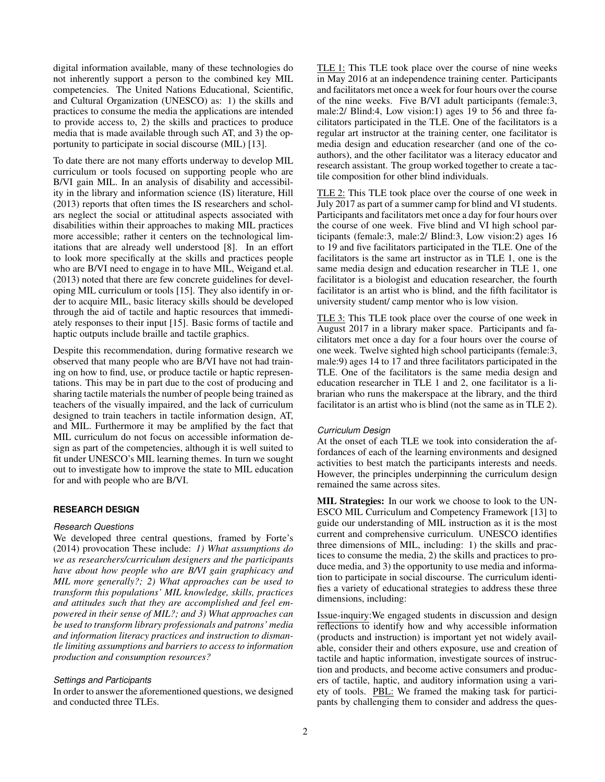digital information available, many of these technologies do not inherently support a person to the combined key MIL competencies. The United Nations Educational, Scientific, and Cultural Organization (UNESCO) as: 1) the skills and practices to consume the media the applications are intended to provide access to, 2) the skills and practices to produce media that is made available through such AT, and 3) the opportunity to participate in social discourse (MIL) [\[13\]](#page-2-8).

To date there are not many efforts underway to develop MIL curriculum or tools focused on supporting people who are B/VI gain MIL. In an analysis of disability and accessibility in the library and information science (IS) literature, Hill (2013) reports that often times the IS researchers and scholars neglect the social or attitudinal aspects associated with disabilities within their approaches to making MIL practices more accessible; rather it centers on the technological limitations that are already well understood [\[8\]](#page-2-9). In an effort to look more specifically at the skills and practices people who are B/VI need to engage in to have MIL, Weigand et.al. (2013) noted that there are few concrete guidelines for developing MIL curriculum or tools [\[15\]](#page-2-10). They also identify in order to acquire MIL, basic literacy skills should be developed through the aid of tactile and haptic resources that immediately responses to their input [\[15\]](#page-2-10). Basic forms of tactile and haptic outputs include braille and tactile graphics.

Despite this recommendation, during formative research we observed that many people who are B/VI have not had training on how to find, use, or produce tactile or haptic representations. This may be in part due to the cost of producing and sharing tactile materials the number of people being trained as teachers of the visually impaired, and the lack of curriculum designed to train teachers in tactile information design, AT, and MIL. Furthermore it may be amplified by the fact that MIL curriculum do not focus on accessible information design as part of the competencies, although it is well suited to fit under UNESCO's MIL learning themes. In turn we sought out to investigate how to improve the state to MIL education for and with people who are B/VI.

### **RESEARCH DESIGN**

## *Research Questions*

We developed three central questions, framed by Forte's (2014) provocation These include: *1) What assumptions do we as researchers/curriculum designers and the participants have about how people who are B/VI gain graphicacy and MIL more generally?; 2) What approaches can be used to transform this populations' MIL knowledge, skills, practices and attitudes such that they are accomplished and feel empowered in their sense of MIL?; and 3) What approaches can be used to transform library professionals and patrons' media and information literacy practices and instruction to dismantle limiting assumptions and barriers to access to information production and consumption resources?*

### *Settings and Participants*

In order to answer the aforementioned questions, we designed and conducted three TLEs.

TLE 1: This TLE took place over the course of nine weeks in May 2016 at an independence training center. Participants and facilitators met once a week for four hours over the course of the nine weeks. Five B/VI adult participants (female:3, male:2/ Blind:4, Low vision:1) ages 19 to 56 and three facilitators participated in the TLE. One of the facilitators is a regular art instructor at the training center, one facilitator is media design and education researcher (and one of the coauthors), and the other facilitator was a literacy educator and research assistant. The group worked together to create a tactile composition for other blind individuals.

TLE 2: This TLE took place over the course of one week in July 2017 as part of a summer camp for blind and VI students. Participants and facilitators met once a day for four hours over the course of one week. Five blind and VI high school participants (female:3, male:2/ Blind:3, Low vision:2) ages 16 to 19 and five facilitators participated in the TLE. One of the facilitators is the same art instructor as in TLE 1, one is the same media design and education researcher in TLE 1, one facilitator is a biologist and education researcher, the fourth facilitator is an artist who is blind, and the fifth facilitator is university student/ camp mentor who is low vision.

TLE 3: This TLE took place over the course of one week in August 2017 in a library maker space. Participants and facilitators met once a day for a four hours over the course of one week. Twelve sighted high school participants (female:3, male:9) ages 14 to 17 and three facilitators participated in the TLE. One of the facilitators is the same media design and education researcher in TLE 1 and 2, one facilitator is a librarian who runs the makerspace at the library, and the third facilitator is an artist who is blind (not the same as in TLE 2).

#### *Curriculum Design*

At the onset of each TLE we took into consideration the affordances of each of the learning environments and designed activities to best match the participants interests and needs. However, the principles underpinning the curriculum design remained the same across sites.

MIL Strategies: In our work we choose to look to the UN-ESCO MIL Curriculum and Competency Framework [\[13\]](#page-2-8) to guide our understanding of MIL instruction as it is the most current and comprehensive curriculum. UNESCO identifies three dimensions of MIL, including: 1) the skills and practices to consume the media, 2) the skills and practices to produce media, and 3) the opportunity to use media and information to participate in social discourse. The curriculum identifies a variety of educational strategies to address these three dimensions, including:

Issue-inquiry:We engaged students in discussion and design reflections to identify how and why accessible information (products and instruction) is important yet not widely available, consider their and others exposure, use and creation of tactile and haptic information, investigate sources of instruction and products, and become active consumers and producers of tactile, haptic, and auditory information using a variety of tools. PBL: We framed the making task for participants by challenging them to consider and address the ques